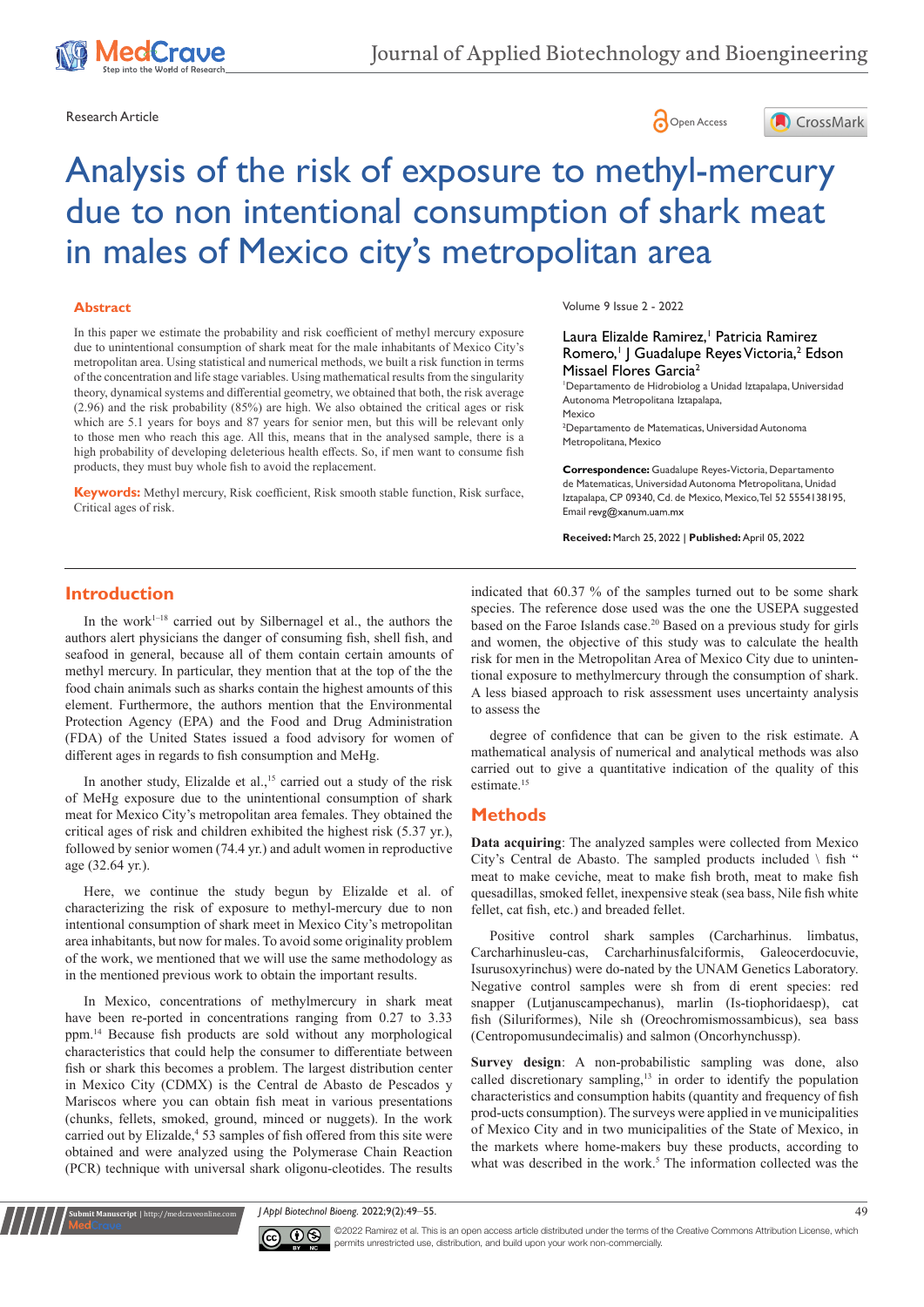





#### **Abstract**

In this paper we estimate the probability and risk coefficient of methyl mercury exposure due to unintentional consumption of shark meat for the male inhabitants of Mexico City's metropolitan area. Using statistical and numerical methods, we built a risk function in terms of the concentration and life stage variables. Using mathematical results from the singularity theory, dynamical systems and differential geometry, we obtained that both, the risk average (2.96) and the risk probability (85%) are high. We also obtained the critical ages or risk which are 5.1 years for boys and 87 years for senior men, but this will be relevant only to those men who reach this age. All this, means that in the analysed sample, there is a high probability of developing deleterious health effects. So, if men want to consume fish products, they must buy whole fish to avoid the replacement.

**Keywords:** Methyl mercury, Risk coefficient, Risk smooth stable function, Risk surface, Critical ages of risk.

Volume 9 Issue 2 - 2022

Laura Elizalde Ramirez,<sup>1</sup> Patricia Ramirez Romero,<sup>1</sup> J Guadalupe Reyes Victoria,<sup>2</sup> Edson Missael Flores Garcia2

1 Departamento de Hidrobiolog a Unidad Iztapalapa, Universidad Autonoma Metropolitana Iztapalapa, Mexico

2 Departamento de Matematicas, Universidad Autonoma Metropolitana, Mexico

**Correspondence:** Guadalupe Reyes-Victoria, Departamento de Matematicas, Universidad Autonoma Metropolitana, Unidad Iztapalapa, CP 09340, Cd. de Mexico, Mexico, Tel 52 5554138195, Email revg@xanum.uam.mx

**Received:** March 25, 2022 | **Published:** April 05, 2022

## **Introduction**

In the work<sup>1-18</sup> carried out by Silbernagel et al., the authors the authors alert physicians the danger of consuming fish, shell fish, and seafood in general, because all of them contain certain amounts of methyl mercury. In particular, they mention that at the top of the the food chain animals such as sharks contain the highest amounts of this element. Furthermore, the authors mention that the Environmental Protection Agency (EPA) and the Food and Drug Administration (FDA) of the United States issued a food advisory for women of different ages in regards to fish consumption and MeHg.

In another study, Elizalde et al., $15$  carried out a study of the risk of MeHg exposure due to the unintentional consumption of shark meat for Mexico City's metropolitan area females. They obtained the critical ages of risk and children exhibited the highest risk (5.37 yr.), followed by senior women (74.4 yr.) and adult women in reproductive age (32.64 yr.).

Here, we continue the study begun by Elizalde et al. of characterizing the risk of exposure to methyl-mercury due to non intentional consumption of shark meet in Mexico City's metropolitan area inhabitants, but now for males. To avoid some originality problem of the work, we mentioned that we will use the same methodology as in the mentioned previous work to obtain the important results.

In Mexico, concentrations of methylmercury in shark meat have been re-ported in concentrations ranging from 0.27 to 3.33 ppm.14 Because fish products are sold without any morphological characteristics that could help the consumer to differentiate between fish or shark this becomes a problem. The largest distribution center in Mexico City (CDMX) is the Central de Abasto de Pescados y Mariscos where you can obtain fish meat in various presentations (chunks, fellets, smoked, ground, minced or nuggets). In the work carried out by Elizalde,<sup>4</sup> 53 samples of fish offered from this site were obtained and were analyzed using the Polymerase Chain Reaction (PCR) technique with universal shark oligonu-cleotides. The results

indicated that 60.37 % of the samples turned out to be some shark species. The reference dose used was the one the USEPA suggested based on the Faroe Islands case.<sup>20</sup> Based on a previous study for girls and women, the objective of this study was to calculate the health risk for men in the Metropolitan Area of Mexico City due to unintentional exposure to methylmercury through the consumption of shark. A less biased approach to risk assessment uses uncertainty analysis to assess the

degree of confidence that can be given to the risk estimate. A mathematical analysis of numerical and analytical methods was also carried out to give a quantitative indication of the quality of this estimate.<sup>15</sup>

### **Methods**

**Data acquiring**: The analyzed samples were collected from Mexico City's Central de Abasto. The sampled products included \ fish " meat to make ceviche, meat to make fish broth, meat to make fish quesadillas, smoked fellet, inexpensive steak (sea bass, Nile fish white fellet, cat fish, etc.) and breaded fellet.

Positive control shark samples (Carcharhinus. limbatus, Carcharhinusleu-cas, Carcharhinusfalciformis, Galeocerdocuvie, Isurusoxyrinchus) were do-nated by the UNAM Genetics Laboratory. Negative control samples were sh from di erent species: red snapper (Lutjanuscampechanus), marlin (Is-tiophoridaesp), cat fish (Siluriformes), Nile sh (Oreochromismossambicus), sea bass (Centropomusundecimalis) and salmon (Oncorhynchussp).

**Survey design**: A non-probabilistic sampling was done, also called discretionary sampling,<sup>13</sup> in order to identify the population characteristics and consumption habits (quantity and frequency of fish prod-ucts consumption). The surveys were applied in ve municipalities of Mexico City and in two municipalities of the State of Mexico, in the markets where home-makers buy these products, according to what was described in the work.<sup>5</sup> The information collected was the

*J Appl Biotechnol Bioeng.* 2022;9(2):49‒55. 49



**Submit Manuscript** | http://medcraveonline.com

©2022 Ramirez et al. This is an open access article distributed under the terms of the Creative Commons Attribution License, which permits unrestricted use, distribution, and build upon your work non-commercially.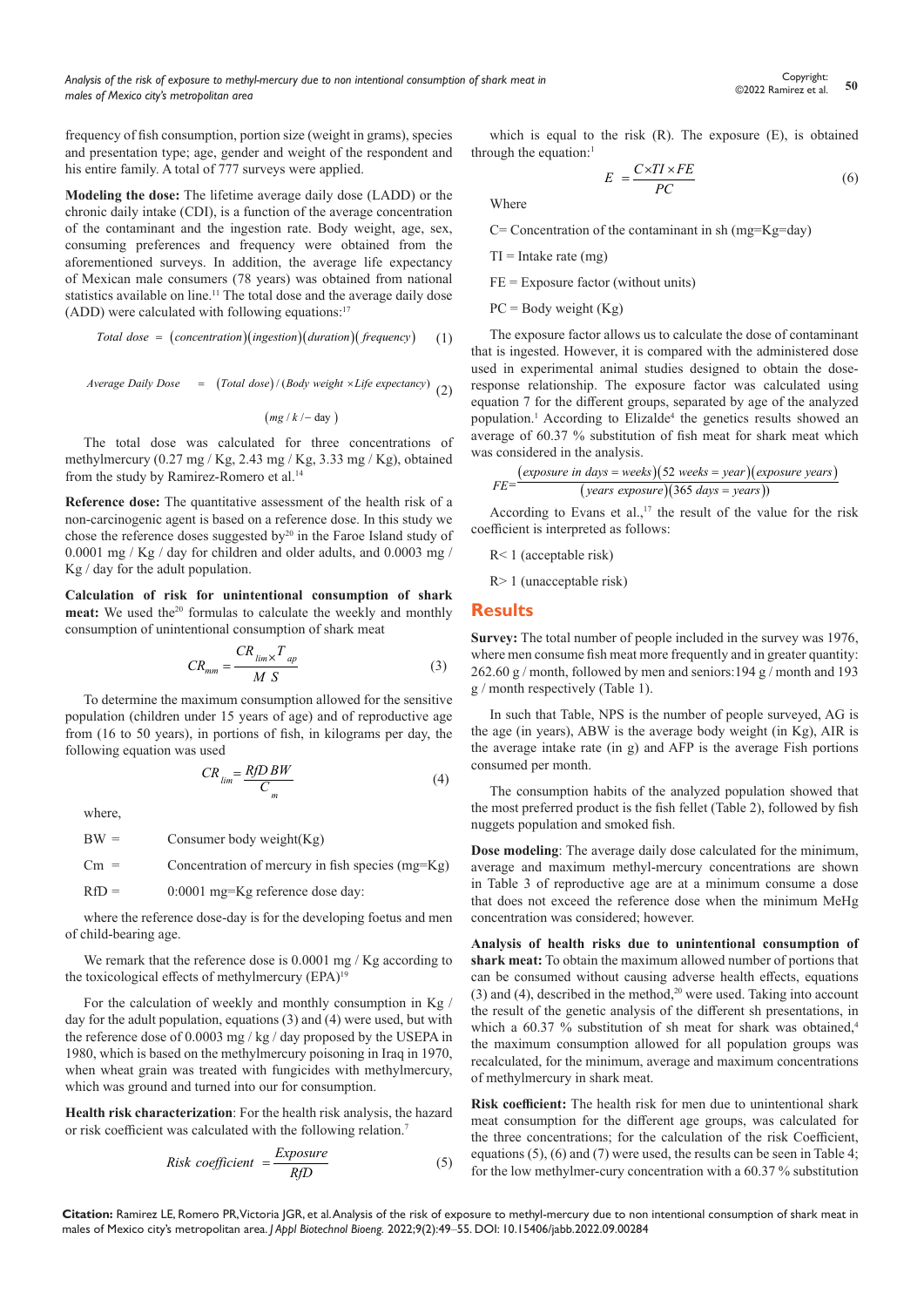frequency of fish consumption, portion size (weight in grams), species and presentation type; age, gender and weight of the respondent and his entire family. A total of 777 surveys were applied.

**Modeling the dose:** The lifetime average daily dose (LADD) or the chronic daily intake (CDI), is a function of the average concentration of the contaminant and the ingestion rate. Body weight, age, sex, consuming preferences and frequency were obtained from the aforementioned surveys. In addition, the average life expectancy of Mexican male consumers (78 years) was obtained from national statistics available on line.11 The total dose and the average daily dose (ADD) were calculated with following equations: $17$ 

$$
Total dose = (concentration)(ingestion)(duration)(frequency) \qquad (1)
$$

$$
Average Daily Does = (Total dose) / (Body weight \times Life \, expectancy) \, (2)
$$

 $(mg / k / - day)$ 

The total dose was calculated for three concentrations of methylmercury (0.27 mg / Kg, 2.43 mg / Kg, 3.33 mg / Kg), obtained from the study by Ramirez-Romero et al.<sup>14</sup>

**Reference dose:** The quantitative assessment of the health risk of a non-carcinogenic agent is based on a reference dose. In this study we chose the reference doses suggested by $^{20}$  in the Faroe Island study of 0.0001 mg / Kg / day for children and older adults, and 0.0003 mg / Kg / day for the adult population.

**Calculation of risk for unintentional consumption of shark**  meat: We used the<sup>20</sup> formulas to calculate the weekly and monthly consumption of unintentional consumption of shark meat

$$
CR_{mm} = \frac{CR_{\lim} \times T_{ap}}{M \ S} \tag{3}
$$

To determine the maximum consumption allowed for the sensitive population (children under 15 years of age) and of reproductive age from (16 to 50 years), in portions of fish, in kilograms per day, the following equation was used

$$
CR_{\lim} = \frac{RfDBW}{C_m} \tag{4}
$$

where,

 $BW =$  Consumer body weight(Kg)

 $Cm =$  Concentration of mercury in fish species (mg=Kg)

RfD = 0:0001 mg=Kg reference dose day:

where the reference dose-day is for the developing foetus and men of child-bearing age.

We remark that the reference dose is 0.0001 mg / Kg according to the toxicological effects of methylmercury (EPA)<sup>19</sup>

For the calculation of weekly and monthly consumption in Kg / day for the adult population, equations (3) and (4) were used, but with the reference dose of 0.0003 mg / kg / day proposed by the USEPA in 1980, which is based on the methylmercury poisoning in Iraq in 1970, when wheat grain was treated with fungicides with methylmercury, which was ground and turned into our for consumption.

**Health risk characterization**: For the health risk analysis, the hazard or risk coefficient was calculated with the following relation.7

Risk coefficient 
$$
=\frac{Exposure}{RfD}
$$
 (5)

which is equal to the risk (R). The exposure (E), is obtained through the equation:<sup>1</sup>

$$
E = \frac{C \times TI \times FE}{PC} \tag{6}
$$

Where

 $C=$  Concentration of the contaminant in sh (mg=Kg=day)

 $TI = Intake$  rate  $(mg)$ 

 $FE = Exposure factor (without units)$ 

 $PC = Body weight (Kg)$ 

The exposure factor allows us to calculate the dose of contaminant that is ingested. However, it is compared with the administered dose used in experimental animal studies designed to obtain the doseresponse relationship. The exposure factor was calculated using equation 7 for the different groups, separated by age of the analyzed population.<sup>1</sup> According to Elizalde<sup>4</sup> the genetics results showed an average of 60.37 % substitution of fish meat for shark meat which was considered in the analysis.

$$
FE = \frac{(exposure in days = weeks)(52 weeks = year)(exposure years)}{(years exposure)(365 days = years)})
$$

According to Evans et al.,<sup>17</sup> the result of the value for the risk coefficient is interpreted as follows:

R< 1 (acceptable risk)

R> 1 (unacceptable risk)

#### **Results**

**Survey:** The total number of people included in the survey was 1976, where men consume fish meat more frequently and in greater quantity: 262.60 g / month, followed by men and seniors:194 g / month and 193 g / month respectively (Table 1).

In such that Table, NPS is the number of people surveyed, AG is the age (in years), ABW is the average body weight (in Kg), AIR is the average intake rate (in g) and AFP is the average Fish portions consumed per month.

The consumption habits of the analyzed population showed that the most preferred product is the fish fellet (Table 2), followed by fish nuggets population and smoked fish.

**Dose modeling**: The average daily dose calculated for the minimum, average and maximum methyl-mercury concentrations are shown in Table 3 of reproductive age are at a minimum consume a dose that does not exceed the reference dose when the minimum MeHg concentration was considered; however.

**Analysis of health risks due to unintentional consumption of shark meat:** To obtain the maximum allowed number of portions that can be consumed without causing adverse health effects, equations (3) and (4), described in the method,<sup>20</sup> were used. Taking into account the result of the genetic analysis of the different sh presentations, in which a 60.37 % substitution of sh meat for shark was obtained,<sup>4</sup> the maximum consumption allowed for all population groups was recalculated, for the minimum, average and maximum concentrations of methylmercury in shark meat.

**Risk coefficient:** The health risk for men due to unintentional shark meat consumption for the different age groups, was calculated for the three concentrations; for the calculation of the risk Coefficient, equations (5), (6) and (7) were used, the results can be seen in Table 4; for the low methylmer-cury concentration with a 60.37 % substitution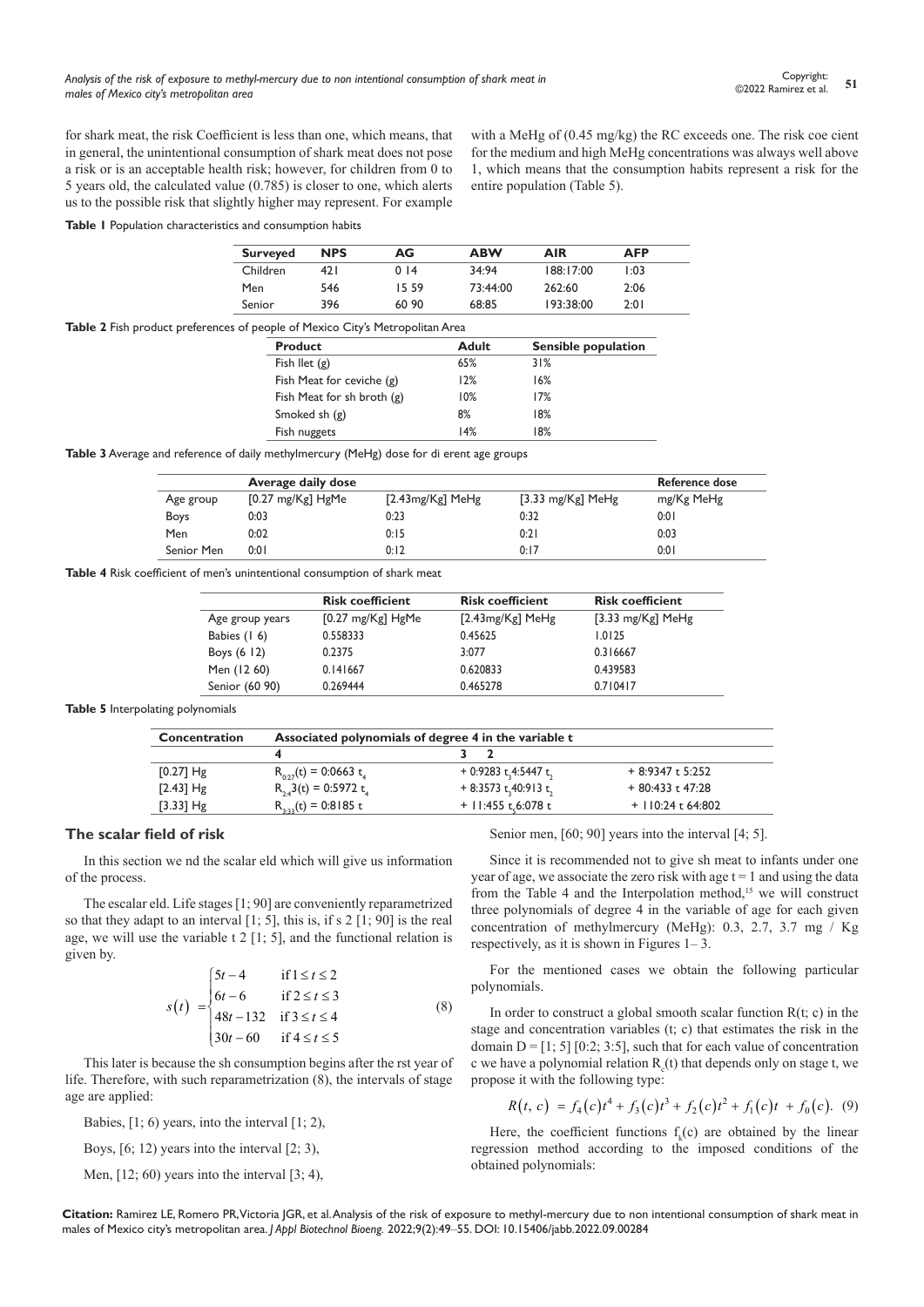with a MeHg of (0.45 mg/kg) the RC exceeds one. The risk coe cient for the medium and high MeHg concentrations was always well above 1, which means that the consumption habits represent a risk for the

for shark meat, the risk Coefficient is less than one, which means, that in general, the unintentional consumption of shark meat does not pose a risk or is an acceptable health risk; however, for children from 0 to 5 years old, the calculated value (0.785) is closer to one, which alerts us to the possible risk that slightly higher may represent. For example

**Table 1** Population characteristics and consumption habits

| <b>Surveyed</b> | <b>NPS</b> | AG    | <b>ABW</b> | <b>AIR</b> | <b>AFP</b> |
|-----------------|------------|-------|------------|------------|------------|
| Children        | 47 I       | 014   | 34.94      | 188:17:00  | l:03       |
| Men             | 546        | 15.59 | 73:44:00   | 262:60     | 2:06       |
| Senior          | 396        | 60.90 | 68.85      | 193.38.00  | 2:01       |

entire population (Table 5).

| <b>Table 2</b> Fish product preferences of people of Mexico City's Metropolitan Area |  |
|--------------------------------------------------------------------------------------|--|
|--------------------------------------------------------------------------------------|--|

| <b>Product</b>             | <b>Adult</b> | Sensible population |
|----------------------------|--------------|---------------------|
| Fish llet $(g)$            | 65%          | 31%                 |
| Fish Meat for ceviche (g)  | 12%          | 16%                 |
| Fish Meat for sh broth (g) | 10%          | 17%                 |
| Smoked sh $(g)$            | 8%           | 18%                 |
| Fish nuggets               | 14%          | 18%                 |

**Table 3** Average and reference of daily methylmercury (MeHg) dose for di erent age groups

|             | Average daily dose          |                      |                       | Reference dose |
|-------------|-----------------------------|----------------------|-----------------------|----------------|
| Age group   | $[0.27 \text{ mg/Kg}]$ HgMe | [2.43 $mg/Kg$ ] MeHg | [3.33 mg/ $Kg$ ] MeHg | mg/Kg MeHg     |
| <b>Boys</b> | 0:03                        | 0:23                 | 0:32                  | 0:01           |
| Men         | 0:02                        | 0:15                 | 0:21                  | 0:03           |
| Senior Men  | 0:01                        | 0:12                 | 0:17                  | 0:01           |

**Table 4** Risk coefficient of men's unintentional consumption of shark meat

|                 | <b>Risk coefficient</b>     | <b>Risk coefficient</b> | <b>Risk coefficient</b> |
|-----------------|-----------------------------|-------------------------|-------------------------|
| Age group years | $[0.27 \text{ mg/Kg}]$ HgMe | $[2.43mg/Kg]$ MeHg      | [3.33 mg/ $Kg$ ] MeHg   |
| Babies (16)     | 0.558333                    | 0.45625                 | 1.0125                  |
| Boys $(6 \ 12)$ | 0.2375                      | 3:077                   | 0.316667                |
| Men (12 60)     | 0.141667                    | 0.620833                | 0.439583                |
| Senior (60 90)  | 0.269444                    | 0.465278                | 0.710417                |

#### **Table 5** Interpolating polynomials

| Concentration | Associated polynomials of degree 4 in the variable t |                       |                    |  |
|---------------|------------------------------------------------------|-----------------------|--------------------|--|
|               |                                                      |                       |                    |  |
| $[0.27]$ Hg   | $R_{0.27}(t) = 0.0663 t$                             | + 0:9283 t,4:5447 t.  | $+8.9347t5.252$    |  |
| $[2.43]$ Hg   | $R_{34}$ 3(t) = 0:5972 t <sub>4</sub>                | + 8:3573 t, 40:913 t, | $+80:433t 47:28$   |  |
| [3.33] $Hg$   | $R_{3.22}(t) = 0.8185 t$                             | + 11:455 t, 6:078 t   | $+110:24$ t 64:802 |  |

#### **The scalar field of risk**

In this section we nd the scalar eld which will give us information of the process.

The escalar eld. Life stages [1; 90] are conveniently reparametrized so that they adapt to an interval [1; 5], this is, if s 2 [1; 90] is the real age, we will use the variable  $t$  2 [1; 5], and the functional relation is given by.

$$
s(t) = \begin{cases} 5t - 4 & \text{if } 1 \le t \le 2 \\ 6t - 6 & \text{if } 2 \le t \le 3 \\ 48t - 132 & \text{if } 3 \le t \le 4 \\ 30t - 60 & \text{if } 4 \le t \le 5 \end{cases}
$$
(8)

This later is because the sh consumption begins after the rst year of life. Therefore, with such reparametrization (8), the intervals of stage age are applied:

Babies,  $[1; 6)$  years, into the interval  $[1; 2)$ ,

Boys, [6; 12) years into the interval [2; 3),

Men,  $[12; 60)$  years into the interval  $[3; 4)$ ,

Senior men, [60; 90] years into the interval [4; 5].

Since it is recommended not to give sh meat to infants under one year of age, we associate the zero risk with age  $t = 1$  and using the data from the Table 4 and the Interpolation method,<sup>15</sup> we will construct three polynomials of degree 4 in the variable of age for each given concentration of methylmercury (MeHg): 0.3, 2.7, 3.7 mg / Kg respectively, as it is shown in Figures 1– 3.

For the mentioned cases we obtain the following particular polynomials.

In order to construct a global smooth scalar function  $R(t; c)$  in the stage and concentration variables (t; c) that estimates the risk in the domain  $D = [1; 5] [0:2; 3:5]$ , such that for each value of concentration c we have a polynomial relation  $R_c(t)$  that depends only on stage t, we propose it with the following type:

$$
R(t, c) = f_4(c)t^4 + f_3(c)t^3 + f_2(c)t^2 + f_1(c)t + f_0(c). \tag{9}
$$

Here, the coefficient functions  $f_k(c)$  are obtained by the linear regression method according to the imposed conditions of the obtained polynomials: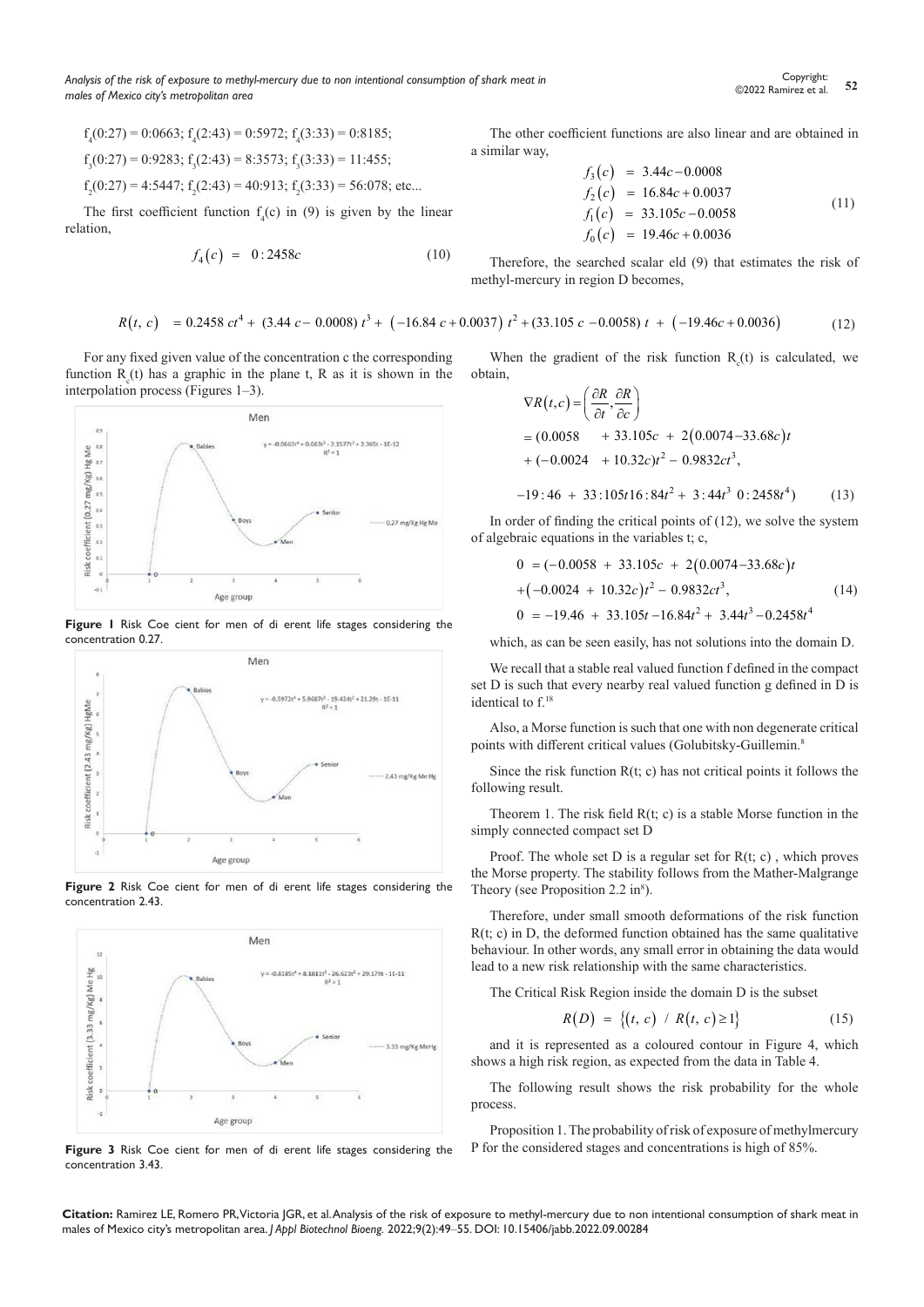$$
f_{_{4}}(0\text{:}27)=0\text{:}0663;\, f_{_{4}}(2\text{:}43)=0\text{:}5972;\, f_{_{4}}(3\text{:}33)=0\text{:}8185;
$$

 $f_3(0:27) = 0:9283$ ;  $f_3(2:43) = 8:3573$ ;  $f_3(3:33) = 11:455$ ;

$$
f_2(0:27) = 4:5447
$$
;  $f_2(2:43) = 40:913$ ;  $f_2(3:33) = 56:078$ ; etc...

The first coefficient function  $f_4(c)$  in (9) is given by the linear relation,

$$
f_4(c) = 0:2458c \tag{10}
$$

For any fixed given value of the concentration c the corresponding function  $R_c(t)$  has a graphic in the plane t, R as it is shown in the interpolation process (Figures 1–3).



**Figure 1** Risk Coe cient for men of di erent life stages considering the concentration 0.27.



**Figure 2** Risk Coe cient for men of di erent life stages considering the concentration 2.43.



**Figure 3** Risk Coe cient for men of di erent life stages considering the concentration 3.43.

The other coefficient functions are also linear and are obtained in a similar way,

$$
f_3(c) = 3.44c - 0.0008
$$
  
\n
$$
f_2(c) = 16.84c + 0.0037
$$
  
\n
$$
f_1(c) = 33.105c - 0.0058
$$
  
\n
$$
f_0(c) = 19.46c + 0.0036
$$
\n(11)

Therefore, the searched scalar eld (9) that estimates the risk of methyl-mercury in region D becomes,

$$
R(t, c) = 0.2458 \, ct^4 + (3.44 \, c - 0.0008) \, t^3 + (-16.84 \, c + 0.0037) \, t^2 + (33.105 \, c - 0.0058) \, t + (-19.46 \, c + 0.0036) \tag{12}
$$

When the gradient of the risk function  $R_c(t)$  is calculated, we obtain,

$$
\nabla R(t,c) = \left(\frac{\partial R}{\partial t}, \frac{\partial R}{\partial c}\right)
$$
  
= (0.0058 + 33.105c + 2(0.0074-33.68c)t  
+ (-0.0024 + 10.32c)t<sup>2</sup> - 0.9832ct<sup>3</sup>,  
-19:46 + 33:105t16:84t<sup>2</sup> + 3:44t<sup>3</sup> 0:2458t<sup>4</sup>) (13)

In order of finding the critical points of  $(12)$ , we solve the system of algebraic equations in the variables t; c,

$$
0 = (-0.0058 + 33.105c + 2(0.0074 - 33.68c)t
$$
  
+ $(-0.0024 + 10.32c)t^2 - 0.9832ct^3,$  (14)  

$$
0 = -19.46 + 33.105t - 16.84t^2 + 3.44t^3 - 0.2458t^4
$$

which, as can be seen easily, has not solutions into the domain D.

We recall that a stable real valued function f defined in the compact set D is such that every nearby real valued function g defined in D is identical to f.<sup>18</sup>

Also, a Morse function is such that one with non degenerate critical points with different critical values (Golubitsky-Guillemin.<sup>8</sup>

Since the risk function  $R(t; c)$  has not critical points it follows the following result.

Theorem 1. The risk field  $R(t; c)$  is a stable Morse function in the simply connected compact set D

Proof. The whole set  $D$  is a regular set for  $R(t; c)$ , which proves the Morse property. The stability follows from the Mather-Malgrange Theory (see Proposition 2.2 in $\delta$ ).

Therefore, under small smooth deformations of the risk function  $R(t; c)$  in D, the deformed function obtained has the same qualitative behaviour. In other words, any small error in obtaining the data would lead to a new risk relationship with the same characteristics.

The Critical Risk Region inside the domain D is the subset

$$
R(D) = \{(t, c) / R(t, c) \ge 1\}
$$
 (15)

and it is represented as a coloured contour in Figure 4, which shows a high risk region, as expected from the data in Table 4.

The following result shows the risk probability for the whole process.

Proposition 1. The probability of risk of exposure of methylmercury P for the considered stages and concentrations is high of 85%.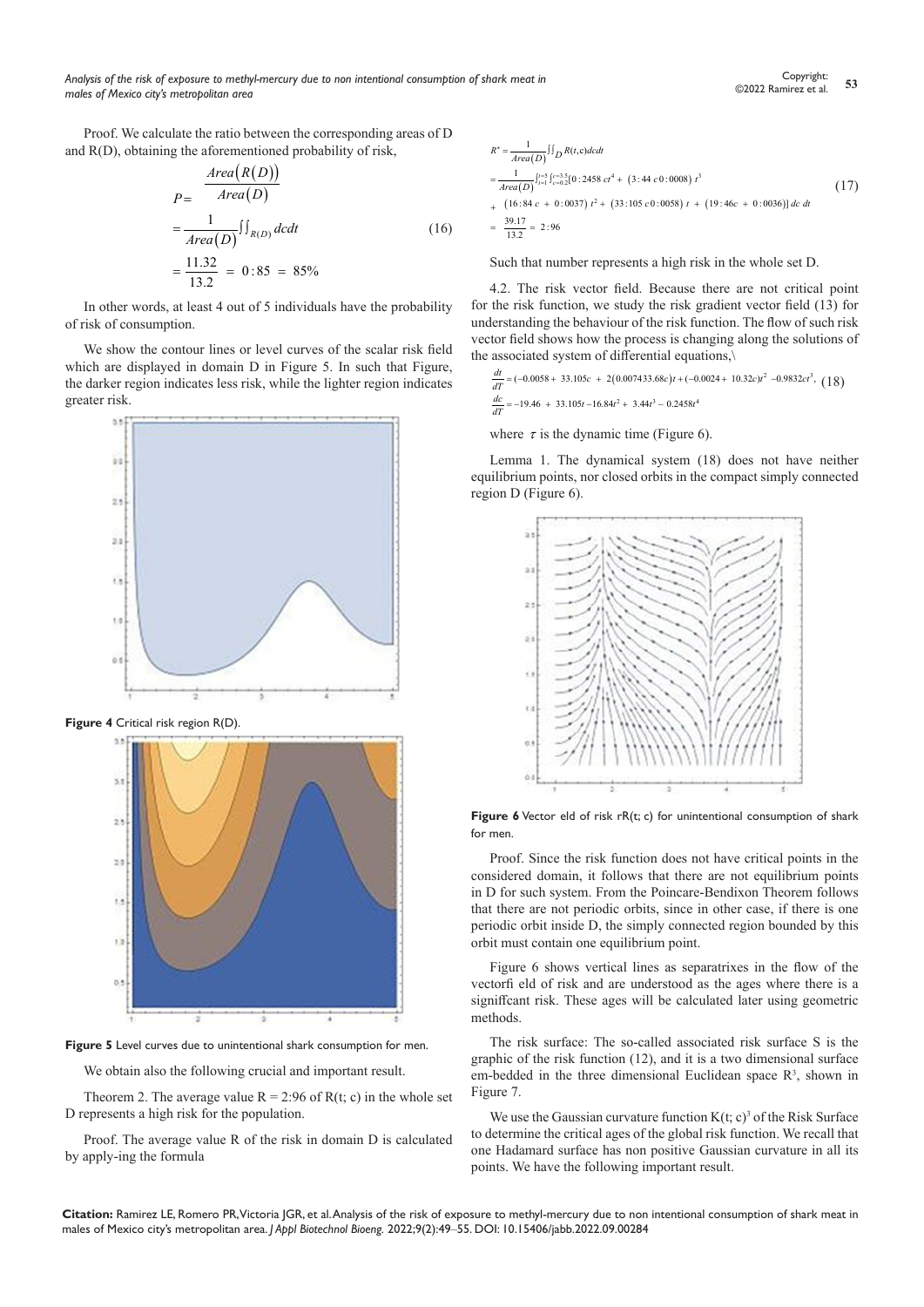Proof. We calculate the ratio between the corresponding areas of D and R(D), obtaining the aforementioned probability of risk,

$$
P = \frac{Area(R(D))}{Area(D)}
$$
  
= 
$$
\frac{1}{Area(D)} \iint_{R(D)} dcdt
$$
  
= 
$$
\frac{11.32}{13.2} = 0:85 = 85\%
$$
 (16)

In other words, at least 4 out of 5 individuals have the probability of risk of consumption.

We show the contour lines or level curves of the scalar risk field which are displayed in domain D in Figure 5. In such that Figure, the darker region indicates less risk, while the lighter region indicates greater risk.



**Figure 4** Critical risk region R(D).



**Figure 5** Level curves due to unintentional shark consumption for men.

We obtain also the following crucial and important result.

Theorem 2. The average value  $R = 2:96$  of  $R(t; c)$  in the whole set D represents a high risk for the population.

Proof. The average value R of the risk in domain D is calculated by apply-ing the formula

$$
R^* = \frac{1}{Area(D)} \iint_D R(t, c) dcdt
$$
  
= 
$$
\frac{1}{Area(D)} \int_{t=1}^{t=5} \int_{c=0.2}^{c=3.5} [0:2458 \, ct^4 + (3:44 \, c \, 0:0008) \, t^3
$$
  
+ 
$$
(16:84 \, c + 0:0037) \, t^2 + (33:105 \, c \, 0:0058) \, t + (19:46c + 0:0036)] \, dc \, dt
$$
  
= 
$$
\frac{39.17}{13.2} = 2:96
$$
 (17)

Such that number represents a high risk in the whole set D.

4.2. The risk vector field. Because there are not critical point for the risk function, we study the risk gradient vector field (13) for understanding the behaviour of the risk function. The flow of such risk vector field shows how the process is changing along the solutions of the associated system of differential equations,\

$$
\frac{dt}{dT} = (-0.0058 + 33.105c + 2(0.007433.68c)t + (-0.0024 + 10.32c)t^2 - 0.9832ct^3, (18)
$$
  

$$
\frac{dc}{dT} = -19.46 + 33.105t - 16.84t^2 + 3.44t^3 - 0.2458t^4
$$

where  $\tau$  is the dynamic time (Figure 6).

Lemma 1. The dynamical system (18) does not have neither equilibrium points, nor closed orbits in the compact simply connected region D (Figure 6).



**Figure 6** Vector eld of risk rR(t; c) for unintentional consumption of shark for men.

Proof. Since the risk function does not have critical points in the considered domain, it follows that there are not equilibrium points in D for such system. From the Poincare-Bendixon Theorem follows that there are not periodic orbits, since in other case, if there is one periodic orbit inside D, the simply connected region bounded by this orbit must contain one equilibrium point.

Figure 6 shows vertical lines as separatrixes in the flow of the vectorfi eld of risk and are understood as the ages where there is a signiffcant risk. These ages will be calculated later using geometric methods.

The risk surface: The so-called associated risk surface S is the graphic of the risk function (12), and it is a two dimensional surface em-bedded in the three dimensional Euclidean space  $\mathbb{R}^3$ , shown in Figure 7.

We use the Gaussian curvature function  $K(t; c)^3$  of the Risk Surface to determine the critical ages of the global risk function. We recall that one Hadamard surface has non positive Gaussian curvature in all its points. We have the following important result.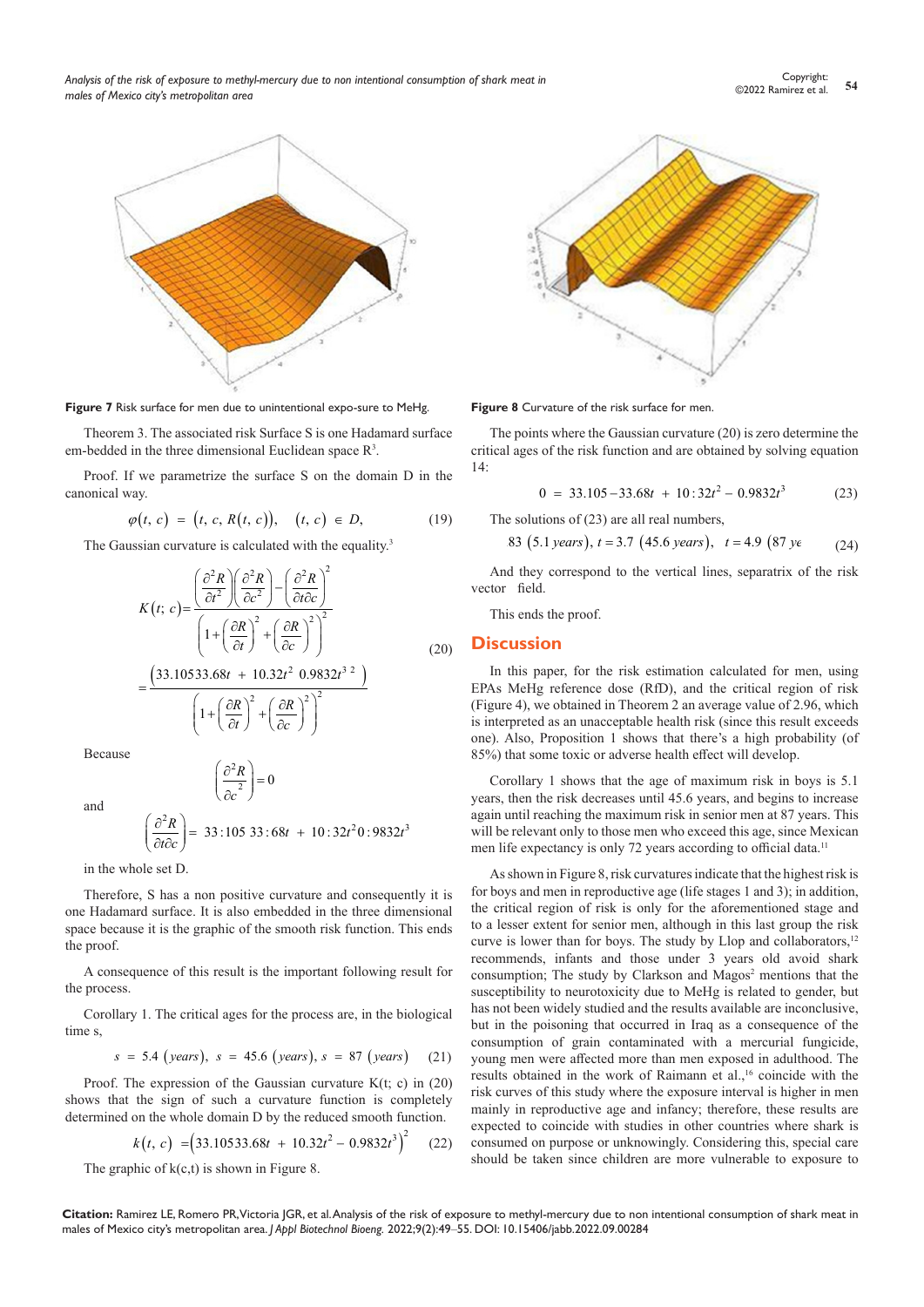

**Figure 7** Risk surface for men due to unintentional expo-sure to MeHg.

Theorem 3. The associated risk Surface S is one Hadamard surface em-bedded in the three dimensional Euclidean space  $\mathbb{R}^3$ .

Proof. If we parametrize the surface S on the domain D in the canonical way.

$$
\varphi(t, c) = (t, c, R(t, c)), (t, c) \in D,
$$
 (19)

The Gaussian curvature is calculated with the equality.<sup>3</sup>

$$
K(t; c) = \frac{\left(\frac{\partial^2 R}{\partial t^2}\right)\left(\frac{\partial^2 R}{\partial c^2}\right) - \left(\frac{\partial^2 R}{\partial t \partial c}\right)^2}{\left(1 + \left(\frac{\partial R}{\partial t}\right)^2 + \left(\frac{\partial R}{\partial c}\right)^2\right)^2}
$$

$$
= \frac{\left(33.10533.68t + 10.32t^2 \cdot 0.9832t^{3/2} \cdot 1\right)}{\left(1 + \left(\frac{\partial R}{\partial t}\right)^2 + \left(\frac{\partial R}{\partial c}\right)^2\right)^2}
$$
(20)

Because

and

$$
\left(\frac{\partial^2 R}{\partial c^2}\right) = 0
$$

$$
\left(\frac{\partial^2 R}{\partial t \partial c}\right) = 33:105\ 33:68t + 10:32t^20:9832t^3
$$

in the whole set D.

Therefore, S has a non positive curvature and consequently it is one Hadamard surface. It is also embedded in the three dimensional space because it is the graphic of the smooth risk function. This ends the proof.

A consequence of this result is the important following result for the process.

Corollary 1. The critical ages for the process are, in the biological time s,

$$
s = 5.4 \text{ (years)}, \; s = 45.6 \text{ (years)}, \; s = 87 \text{ (years)} \tag{21}
$$

Proof. The expression of the Gaussian curvature K(t; c) in (20) shows that the sign of such a curvature function is completely determined on the whole domain D by the reduced smooth function.

$$
k(t, c) = (33.10533.68t + 10.32t^2 - 0.9832t^3)^2
$$
 (22)

The graphic of  $k(c,t)$  is shown in Figure 8.



**Figure 8** Curvature of the risk surface for men.

The points where the Gaussian curvature (20) is zero determine the critical ages of the risk function and are obtained by solving equation 14:

$$
0 = 33.105 - 33.68t + 10:32t^2 - 0.9832t^3 \tag{23}
$$

The solutions of (23) are all real numbers,

.83 (5.1 years), 
$$
t = 3.7
$$
 (45.6 years),  $t = 4.9$  (87 *ye* (24)

And they correspond to the vertical lines, separatrix of the risk vector field.

This ends the proof.

## **Discussion**

In this paper, for the risk estimation calculated for men, using EPAs MeHg reference dose (RfD), and the critical region of risk (Figure 4), we obtained in Theorem 2 an average value of 2.96, which is interpreted as an unacceptable health risk (since this result exceeds one). Also, Proposition 1 shows that there's a high probability (of 85%) that some toxic or adverse health effect will develop.

Corollary 1 shows that the age of maximum risk in boys is 5.1 years, then the risk decreases until 45.6 years, and begins to increase again until reaching the maximum risk in senior men at 87 years. This will be relevant only to those men who exceed this age, since Mexican men life expectancy is only 72 years according to official data.<sup>11</sup>

As shown in Figure 8, risk curvatures indicate that the highest risk is for boys and men in reproductive age (life stages 1 and 3); in addition, the critical region of risk is only for the aforementioned stage and to a lesser extent for senior men, although in this last group the risk curve is lower than for boys. The study by Llop and collaborators,<sup>12</sup> recommends, infants and those under 3 years old avoid shark consumption; The study by Clarkson and Magos<sup>2</sup> mentions that the susceptibility to neurotoxicity due to MeHg is related to gender, but has not been widely studied and the results available are inconclusive, but in the poisoning that occurred in Iraq as a consequence of the consumption of grain contaminated with a mercurial fungicide, young men were affected more than men exposed in adulthood. The results obtained in the work of Raimann et al.,<sup>16</sup> coincide with the risk curves of this study where the exposure interval is higher in men mainly in reproductive age and infancy; therefore, these results are expected to coincide with studies in other countries where shark is consumed on purpose or unknowingly. Considering this, special care should be taken since children are more vulnerable to exposure to